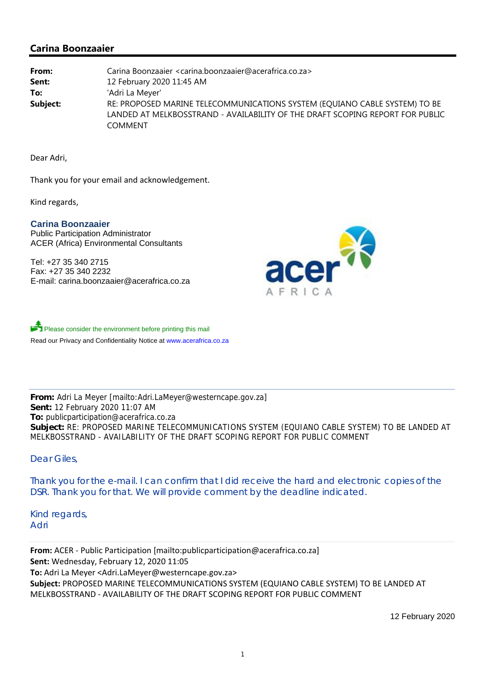# **Carina Boonzaaier**

**From:** Carina Boonzaaier <carina.boonzaaier@acerafrica.co.za> **Sent:** 12 February 2020 11:45 AM **To:** 'Adri La Meyer' **Subject:** RE: PROPOSED MARINE TELECOMMUNICATIONS SYSTEM (EQUIANO CABLE SYSTEM) TO BE LANDED AT MELKBOSSTRAND - AVAILABILITY OF THE DRAFT SCOPING REPORT FOR PUBLIC **COMMENT** 

Dear Adri,

Thank you for your email and acknowledgement.

Kind regards,

### **Carina Boonzaaier**

Public Participation Administrator ACER (Africa) Environmental Consultants

Tel: +27 35 340 2715 Fax: +27 35 340 2232 E-mail: carina.boonzaaier@acerafrica.co.za



Please consider the environment before printing this mail Read our Privacy and Confidentiality Notice at www.acerafrica.co.za

**From:** Adri La Meyer [mailto:Adri.LaMeyer@westerncape.gov.za] **Sent:** 12 February 2020 11:07 AM **To:** publicparticipation@acerafrica.co.za **Subject:** RE: PROPOSED MARINE TELECOMMUNICATIONS SYSTEM (EQUIANO CABLE SYSTEM) TO BE LANDED AT MELKBOSSTRAND - AVAILABILITY OF THE DRAFT SCOPING REPORT FOR PUBLIC COMMENT

Dear Giles,

Thank you for the e-mail. I can confirm that I did receive the hard and electronic copies of the DSR. Thank you for that. We will provide comment by the deadline indicated.

Kind regards, Adri

**From:** ACER ‐ Public Participation [mailto:publicparticipation@acerafrica.co.za] **Sent:** Wednesday, February 12, 2020 11:05 **To:** Adri La Meyer <Adri.LaMeyer@westerncape.gov.za> **Subject:** PROPOSED MARINE TELECOMMUNICATIONS SYSTEM (EQUIANO CABLE SYSTEM) TO BE LANDED AT MELKBOSSTRAND ‐ AVAILABILITY OF THE DRAFT SCOPING REPORT FOR PUBLIC COMMENT

12 February 2020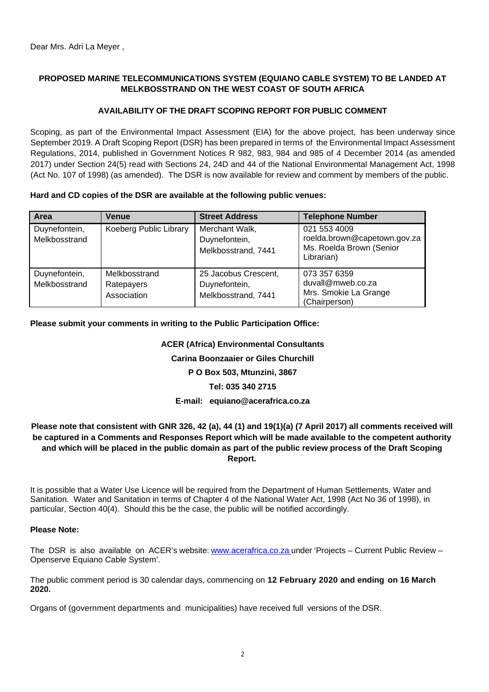## **PROPOSED MARINE TELECOMMUNICATIONS SYSTEM (EQUIANO CABLE SYSTEM) TO BE LANDED AT MELKBOSSTRAND ON THE WEST COAST OF SOUTH AFRICA**

## **AVAILABILITY OF THE DRAFT SCOPING REPORT FOR PUBLIC COMMENT**

Scoping, as part of the Environmental Impact Assessment (EIA) for the above project, has been underway since September 2019. A Draft Scoping Report (DSR) has been prepared in terms of the Environmental Impact Assessment Regulations, 2014, published in Government Notices R 982, 983, 984 and 985 of 4 December 2014 (as amended 2017) under Section 24(5) read with Sections 24, 24D and 44 of the National Environmental Management Act, 1998 (Act No. 107 of 1998) (as amended). The DSR is now available for review and comment by members of the public.

### **Hard and CD copies of the DSR are available at the following public venues:**

| Area                           | Venue                                      | <b>Street Address</b>                                        | <b>Telephone Number</b>                                                                |
|--------------------------------|--------------------------------------------|--------------------------------------------------------------|----------------------------------------------------------------------------------------|
| Duynefontein,<br>Melkbosstrand | Koeberg Public Library                     | Merchant Walk,<br>Duynefontein,<br>Melkbosstrand, 7441       | 021 553 4009<br>roelda.brown@capetown.gov.za<br>Ms. Roelda Brown (Senior<br>Librarian) |
| Duynefontein,<br>Melkbosstrand | Melkbosstrand<br>Ratepayers<br>Association | 25 Jacobus Crescent,<br>Duynefontein,<br>Melkbosstrand, 7441 | 073 357 6359<br>duvall@mweb.co.za<br>Mrs. Smokie La Grange<br>(Chairperson)            |

### **Please submit your comments in writing to the Public Participation Office:**

### **ACER (Africa) Environmental Consultants**

**Carina Boonzaaier or Giles Churchill**

## **P O Box 503, Mtunzini, 3867**

### **Tel: 035 340 2715**

#### **E-mail: equiano@acerafrica.co.za**

## **Please note that consistent with GNR 326, 42 (a), 44 (1) and 19(1)(a) (7 April 2017) all comments received will be captured in a Comments and Responses Report which will be made available to the competent authority and which will be placed in the public domain as part of the public review process of the Draft Scoping Report.**

It is possible that a Water Use Licence will be required from the Department of Human Settlements, Water and Sanitation. Water and Sanitation in terms of Chapter 4 of the National Water Act, 1998 (Act No 36 of 1998), in particular, Section 40(4). Should this be the case, the public will be notified accordingly.

#### **Please Note:**

The DSR is also available on ACER's website: www.acerafrica.co.za under 'Projects – Current Public Review – Openserve Equiano Cable System'.

The public comment period is 30 calendar days, commencing on **12 February 2020 and ending on 16 March 2020.**

Organs of (government departments and municipalities) have received full versions of the DSR.